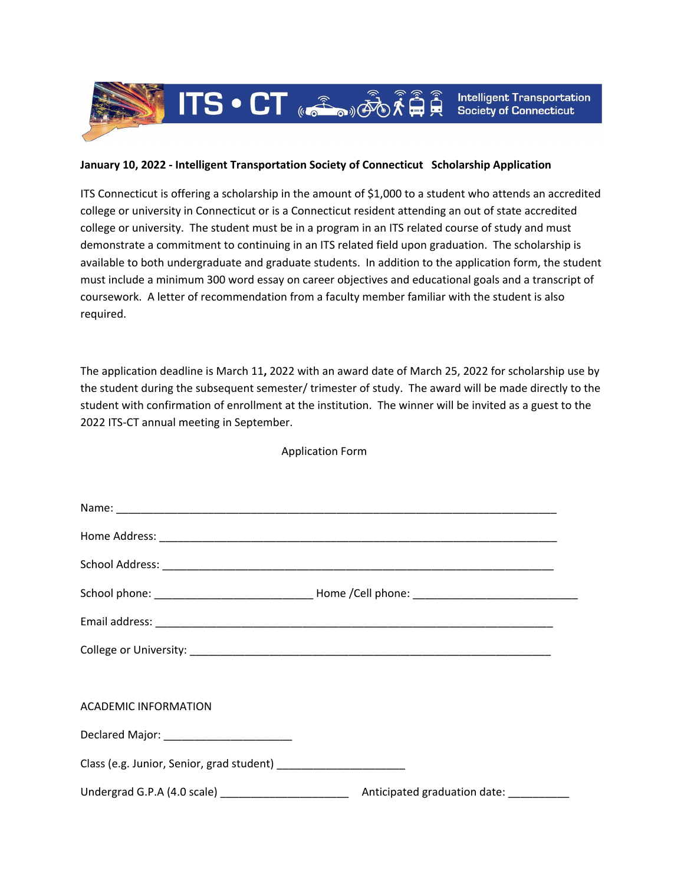## **January 10, 2022 - Intelligent Transportation Society of Connecticut Scholarship Application**

 $\widehat{\text{HIS}} \cdot \text{CT}$   $\text{C}\widehat{\text{C}}$   $\text{C}\widehat{\text{C}}$ 

ITS Connecticut is offering a scholarship in the amount of \$1,000 to a student who attends an accredited college or university in Connecticut or is a Connecticut resident attending an out of state accredited college or university. The student must be in a program in an ITS related course of study and must demonstrate a commitment to continuing in an ITS related field upon graduation. The scholarship is available to both undergraduate and graduate students. In addition to the application form, the student must include a minimum 300 word essay on career objectives and educational goals and a transcript of coursework. A letter of recommendation from a faculty member familiar with the student is also required.

The application deadline is March 11**,** 2022 with an award date of March 25, 2022 for scholarship use by the student during the subsequent semester/ trimester of study. The award will be made directly to the student with confirmation of enrollment at the institution. The winner will be invited as a guest to the 2022 ITS-CT annual meeting in September.

Application Form

| <b>ACADEMIC INFORMATION</b> |  |
|-----------------------------|--|
|                             |  |
|                             |  |
|                             |  |